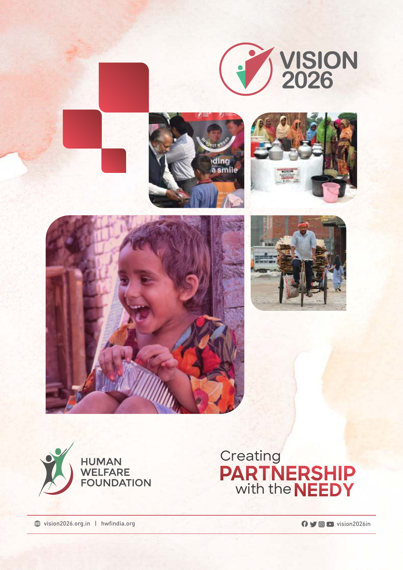













wision2026.org.in | hwfindia.org vision2026in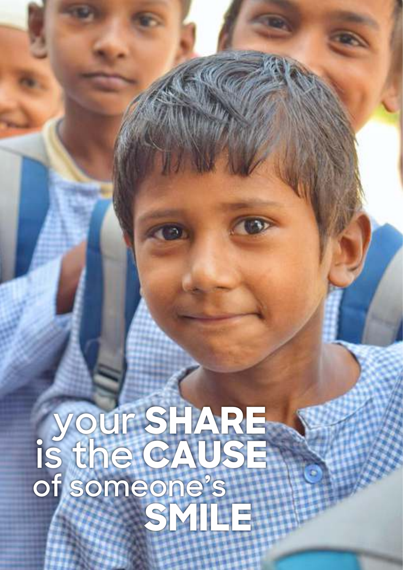# **your SHARE is the CAUSE of someone's SMILE**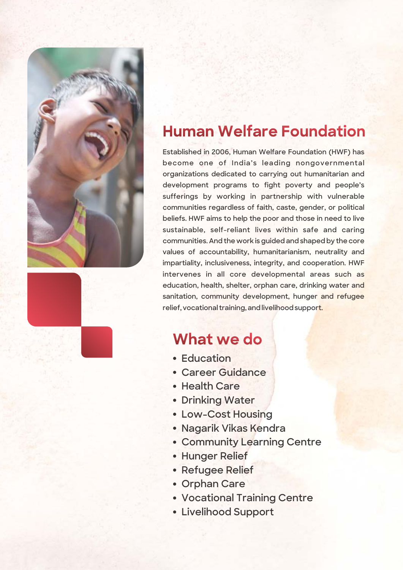



### **Human Welfare Foundation**

**Established in 2006, Human Welfare Foundation (HWF) has become one of India's leading nongovernmental organizations dedicated to carrying out humanitarian and development programs to fight poverty and people's sufferings by working in partnership with vulnerable communities regardless of faith, caste, gender, or political beliefs. HWF aims to help the poor and those in need to live sustainable, self-reliant lives within safe and caring communities. And the work is guided and shaped by the core values of accountability, humanitarianism, neutrality and impartiality, inclusiveness, integrity, and cooperation. HWF intervenes in all core developmental areas such as education, health, shelter, orphan care, drinking water and sanitation, community development, hunger and refugee relief, vocational training, and livelihood support.**

### **What we do**

- **Education**
- **Career Guidance**
- **Health Care**
- **Drinking Water**
- **Low-Cost Housing**
- **Nagarik Vikas Kendra**
- **Community Learning Centre**
- **Hunger Relief**
- **Refugee Relief**
- **Orphan Care**
- **Vocational Training Centre**
- **Livelihood Support**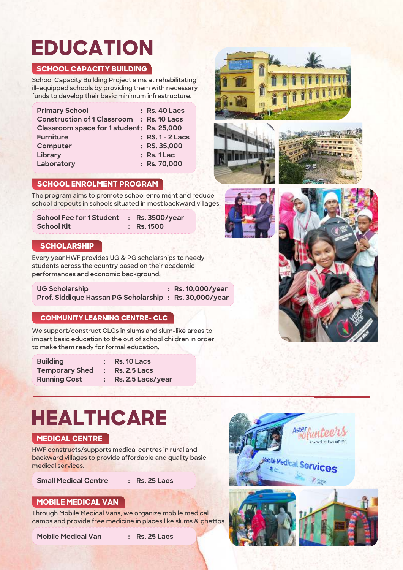## **EDUCATION**

#### **SCHOOL CAPACITY BUILDING**

**School Capacity Building Project aims at rehabilitating ill-equipped schools by providing them with necessary funds to develop their basic minimum infrastructure.**

| <b>Primary School</b>                     | $:$ Rs. 40 Lacs  |
|-------------------------------------------|------------------|
| Construction of 1 Classroom : Rs. 10 Lacs |                  |
| Classroom space for 1 student: Rs. 25,000 |                  |
| <b>Furniture</b>                          | : RS. 1 - 2 Lacs |
| <b>Computer</b>                           | $:$ RS. 35,000   |
| Library                                   | $:$ Rs. 1 Lac    |
| Laboratory                                | : Rs. 70,000     |
|                                           |                  |



**The program aims to promote school enrolment and reduce school dropouts in schools situated in most backward villages.**

| School Fee for 1 Student : Rs. 3500/year |              |
|------------------------------------------|--------------|
| <b>School Kit</b>                        | $:$ Rs. 1500 |

#### **SCHOLARSHIP**

**Every year HWF provides UG & PG scholarships to needy students across the country based on their academic performances and economic background.**

**UG Scholarship : Rs. 10,000/year Prof. Siddique Hassan PG Scholarship : Rs. 30,000/year** 

#### **COMMUNITY LEARNING CENTRE- CLC**

**We support/construct CLCs in slums and slum-like areas to impart basic education to the out of school children in order to make them ready for formal education.**

**Building : Rs. 10 Lacs Temporary Shed : Rs. 2.5 Lacs** 

**Running Cost : Rs. 2.5 Lacs/year** 

## **HEALTHCARE**

#### **MEDICAL CENTRE**

**HWF constructs/supports medical centres in rural and backward villages to provide affordable and quality basic medical services.** 

**Small Medical Centre : Rs. 25 Lacs**

#### **MOBILE MEDICAL VAN**

**Through Mobile Medical Vans, we organize mobile medical camps and provide free medicine in places like slums & ghettos.**

**Mobile Medical Van : Rs. 25 Lacs**









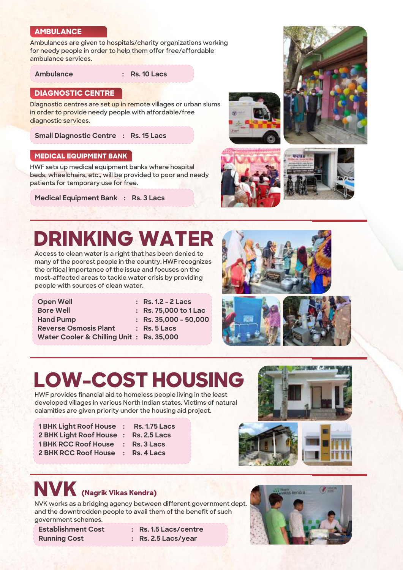#### **AMBULANCE**

**Ambulances are given to hospitals/charity organizations working for needy people in order to help them offer free/affordable ambulance services.**

**Ambulance : Rs. 10 Lacs**

#### **DIAGNOSTIC CENTRE**

**Diagnostic centres are set up in remote villages or urban slums in order to provide needy people with affordable/free diagnostic services.** 

**Small Diagnostic Centre : Rs. 15 Lacs**

#### **MEDICAL EQUIPMENT BANK**

**HWF sets up medical equipment banks where hospital beds, wheelchairs, etc., will be provided to poor and needy patients for temporary use for free.** 

**Medical Equipment Bank : Rs. 3 Lacs**









### **DRINKING WATER**

**Access to clean water is a right that has been denied to many of the poorest people in the country. HWF recognizes the critical importance of the issue and focuses on the most-affected areas to tackle water crisis by providing people with sources of clean water.**

| <b>Open Well</b>                         | $:$ Rs. 1.2 - 2 Lacs    |
|------------------------------------------|-------------------------|
| <b>Bore Well</b>                         | : Rs. 75,000 to 1 Lac   |
| <b>Hand Pump</b>                         | : Rs. $35,000 - 50,000$ |
| <b>Reverse Osmosis Plant</b>             | $:$ Rs. 5 Lacs          |
| Water Cooler & Chilling Unit: Rs. 35,000 |                         |

| <b>Rs. 1.2 - 2 Lacs</b>    |
|----------------------------|
| <b>Rs. 75,000 to 1 Lac</b> |
| Rs. 35.000 – 50.000        |
| ---                        |







## **LOW-COST HOUSING**

**HWF provides financial aid to homeless people living in the least developed villages in various North Indian states. Victims of natural calamities are given priority under the housing aid project.** 

- **1 BHK Light Roof House : Rs. 1.75 Lacs 2 BHK Light Roof House : Rs. 2.5 Lacs 1 BHK RCC Roof House : Rs. 3 Lacs**
	-
	-
	-
- **2 BHK RCC Roof House : Rs. 4 Lacs**



**NVK works as a bridging agency between different government dept. and the downtrodden people to avail them of the benefit of such government schemes.**

**Establishment Cost : Rs. 1.5 Lacs/centre**  Running Cost : Rs. 2.5 Lacs/year

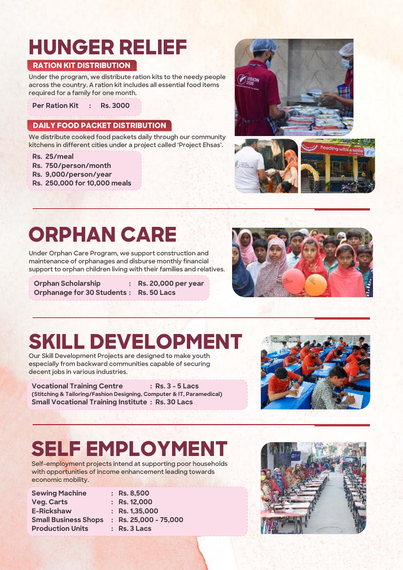### **HUNGER RELIEF**

#### **RATION KIT DISTRIBUTION**

**Under the program, we distribute ration kits to the needy people across the country. A ration kit includes all essential food items required for a family for one month.**

**Per Ration Kit : Rs. 3000**

#### **DAILY FOOD PACKET DISTRIBUTION**

**We distribute cooked food packets daily through our community kitchens in different cities under a project called 'Project Ehsas'.**

**Rs. 25/meal**

- **Rs. 750/person/month**
- **Rs. 9,000/person/year**
- **Rs. 250,000 for 10,000 meals**





### **ORPHAN CARE**

**Under Orphan Care Program, we support construction and maintenance of orphanages and disburse monthly financial support to orphan children living with their families and relatives.**

**Orphan Scholarship : Rs. 20,000 per year Orphanage for 30 Students : Rs. 50 Lacs**



### **SKILL DEVELOPMENT**

**Our Skill Development Projects are designed to make youth especially from backward communities capable of securing decent jobs in various industries.**

**Vocational Training Centre : Rs. 3 - 5 Lacs (Stitching & Tailoring/Fashion Designing, Computer & IT, Paramedical) Small Vocational Training Institute : Rs. 30 Lacs**



### **SELF EMPLOYMENT**

**Self-employment projects intend at supporting poor households with opportunities of income enhancement leading towards economic mobility.**

| <b>Sewing Machine</b>       |   |
|-----------------------------|---|
| <b>Veg. Carts</b>           |   |
| <b>E-Rickshaw</b>           | ∶ |
| <b>Small Business Shops</b> |   |
| <b>Production Units</b>     |   |

**Sewing Machine : Rs. 8,500 Veg. Carts : Rs. 12,000 E-Rickshaw : Rs. 1,35,000 Small Business Shops : Rs. 25,000 - 75,000 Rs. 3 Lacs** 

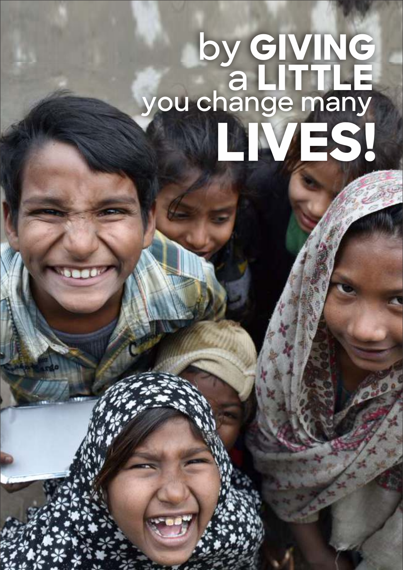# **by GIVING a LITTLE you change many LIVES!**